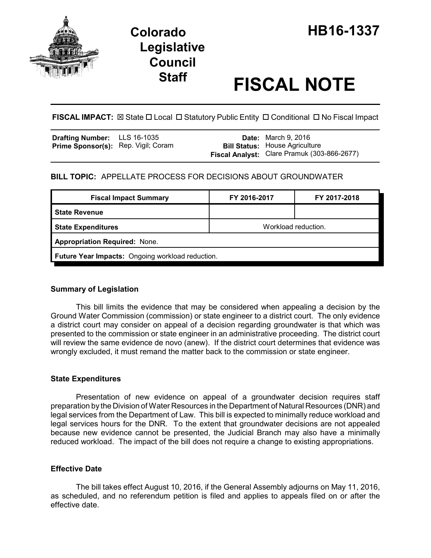

# **Legislative Council**

## **Staff FISCAL NOTE**

**FISCAL IMPACT:** ⊠ State □ Local □ Statutory Public Entity □ Conditional □ No Fiscal Impact

| <b>Drafting Number:</b>             | LLS 16-1035 |  |
|-------------------------------------|-------------|--|
| Prime Sponsor(s): Rep. Vigil; Coram |             |  |

**Date:** March 9, 2016 **Bill Status:** House Agriculture **Fiscal Analyst:** Clare Pramuk (303-866-2677)

#### **BILL TOPIC:** APPELLATE PROCESS FOR DECISIONS ABOUT GROUNDWATER

| <b>Fiscal Impact Summary</b>                     | FY 2016-2017        | FY 2017-2018 |  |
|--------------------------------------------------|---------------------|--------------|--|
| l State Revenue                                  |                     |              |  |
| <b>State Expenditures</b>                        | Workload reduction. |              |  |
| <b>Appropriation Required: None.</b>             |                     |              |  |
| Future Year Impacts: Ongoing workload reduction. |                     |              |  |

#### **Summary of Legislation**

This bill limits the evidence that may be considered when appealing a decision by the Ground Water Commission (commission) or state engineer to a district court. The only evidence a district court may consider on appeal of a decision regarding groundwater is that which was presented to the commission or state engineer in an administrative proceeding. The district court will review the same evidence de novo (anew). If the district court determines that evidence was wrongly excluded, it must remand the matter back to the commission or state engineer.

#### **State Expenditures**

Presentation of new evidence on appeal of a groundwater decision requires staff preparation by the Division of Water Resources in the Department of Natural Resources (DNR) and legal services from the Department of Law. This bill is expected to minimally reduce workload and legal services hours for the DNR. To the extent that groundwater decisions are not appealed because new evidence cannot be presented, the Judicial Branch may also have a minimally reduced workload. The impact of the bill does not require a change to existing appropriations.

#### **Effective Date**

The bill takes effect August 10, 2016, if the General Assembly adjourns on May 11, 2016, as scheduled, and no referendum petition is filed and applies to appeals filed on or after the effective date.